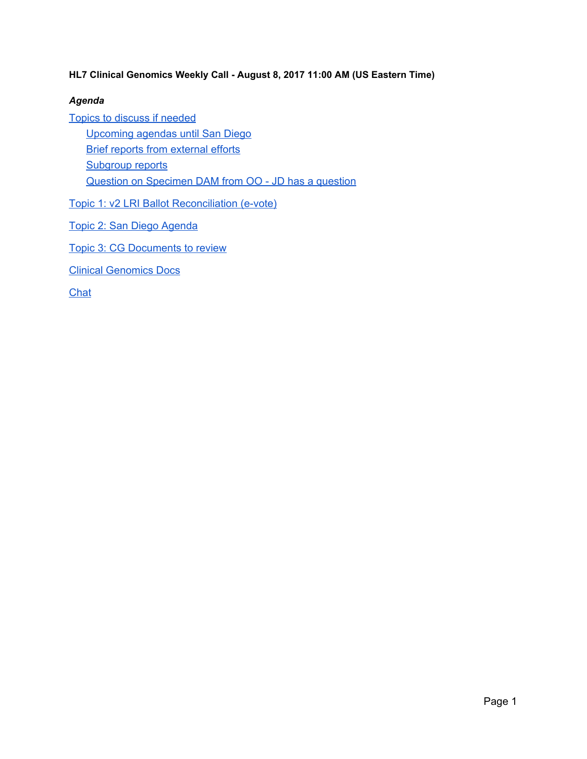### **HL7 Clinical Genomics Weekly Call - August 8, 2017 11:00 AM (US Eastern Time)**

### *Agenda*

Topics to discuss if [needed](#page-1-1) [Upcoming](#page-1-0) agendas until San Diego Brief reports from [external](#page-2-0) efforts [Subgroup](#page-2-2) reports Question on Specimen DAM from OO - JD has a question Topic 1: v2 LRI Ballot [Reconciliation](#page-2-1) (e-vote) Topic 2: San Diego [Agenda](#page-3-2) Topic 3: CG [Documents](#page-3-0) to review

Clinical [Genomics](#page-3-3) Docs

**[Chat](#page-3-1)**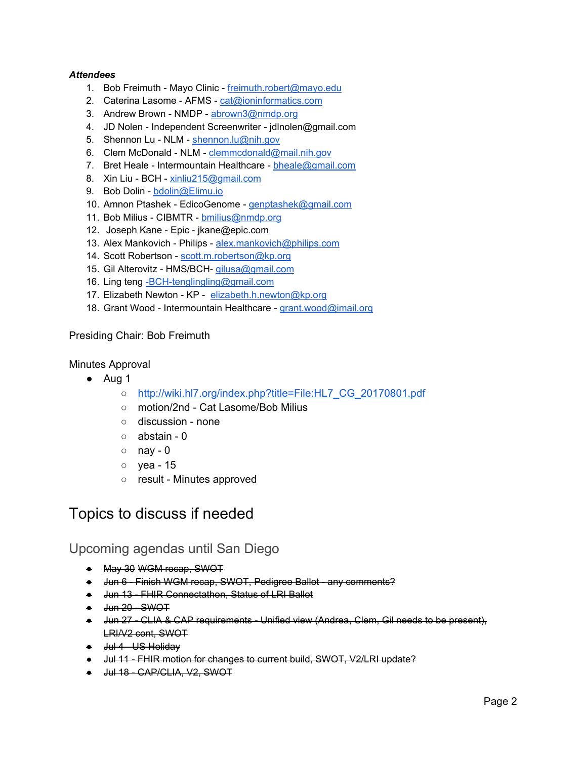### *Attendees*

- 1. Bob Freimuth Mayo Clinic [freimuth.robert@mayo.edu](mailto:freimuth.robert@mayo.edu)
- 2. Caterina Lasome AFMS [cat@ioninformatics.com](mailto:cat@ioninformatics.com)
- 3. Andrew Brown NMDP [abrown3@nmdp.org](mailto:abrown3@nmdp.org)
- 4. JD Nolen Independent Screenwriter jdlnolen@gmail.com
- 5. Shennon Lu NLM [shennon.lu@nih.gov](mailto:shennon.lu@nih.gov)
- 6. Clem McDonald NLM [clemmcdonald@mail.nih.gov](mailto:clemmcdonald@mail.nih.gov)
- 7. Bret Heale Intermountain Healthcare [bheale@gmail.com](mailto:bheale@gmail.com)
- 8. Xin Liu BCH [xinliu215@gmail.com](mailto:xinliu215@gmail.com)
- 9. Bob Dolin [bdolin@Elimu.io](mailto:bdolin@Elimu.io)
- 10. Amnon Ptashek EdicoGenome [genptashek@gmail.com](mailto:genptashek@gmail.com)
- 11. Bob Milius CIBMTR [bmilius@nmdp.org](mailto:bmilius@nmdp.org)
- 12. Joseph Kane Epic jkane@epic.com
- 13. Alex Mankovich Philips [alex.mankovich@philips.com](mailto:alex.mankovich@philips.com)
- 14. Scott Robertson [scott.m.robertson@kp.org](mailto:scott.m.robertson@kp.org)
- 15. Gil Alterovitz HMS/BCH- [gilusa@gmail.com](mailto:gilusa@gmail.com)
- 16. Ling teng BCH-tenglingling@gmail.com
- 17. Elizabeth Newton KP [elizabeth.h.newton@kp.org](mailto:elizabeth.h.newton@kp.org)
- 18. Grant Wood Intermountain Healthcare [grant.wood@imail.org](mailto:grant.wood@imail.org)

### Presiding Chair: Bob Freimuth

### Minutes Approval

- Aug 1
	- [http://wiki.hl7.org/index.php?title=File:HL7\\_CG\\_20170801.pdf](http://wiki.hl7.org/index.php?title=File:HL7_CG_20170801.pdf)
	- motion/2nd Cat Lasome/Bob Milius
	- discussion none
	- abstain 0
	- $\circ$  nay 0
	- yea 15
	- result Minutes approved

## <span id="page-1-1"></span>Topics to discuss if needed

### <span id="page-1-0"></span>Upcoming agendas until San Diego

- May 30 WGM recap, SWOT
- Jun 6 Finish WGM recap, SWOT, Pedigree Ballot any comments?
- Jun 13 FHIR Connectathon, Status of LRI Ballot
- <del>Jun 20 SWOT</del>
- Jun 27 CLIA & CAP requirements Unified view (Andrea, Clem, Gil needs to be present), LRI/V2 cont, SWOT
- Jul 4 US Holiday
- Jul 11 FHIR motion for changes to current build, SWOT, V2/LRI update?
- <del>Jul 18 CAP/CLIA, V2, SWOT</del>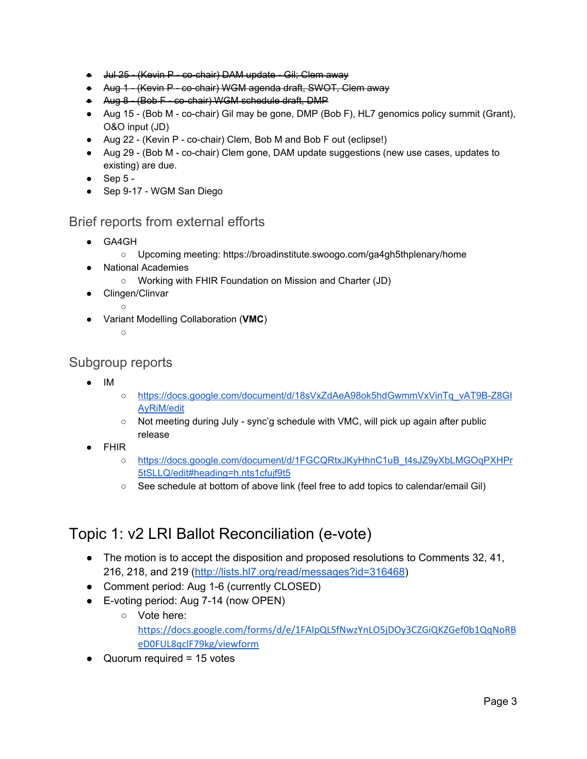- Jul 25 (Kevin P co-chair) DAM update Gil; Clem away
- Aug 1 (Kevin P co-chair) WGM agenda draft, SWOT, Clem away
- Aug 8 (Bob F co-chair) WGM schedule draft, DMP
- Aug 15 (Bob M co-chair) Gil may be gone, DMP (Bob F), HL7 genomics policy summit (Grant), O&O input (JD)
- Aug 22 (Kevin P co-chair) Clem, Bob M and Bob F out (eclipse!)
- Aug 29 (Bob M co-chair) Clem gone, DAM update suggestions (new use cases, updates to existing) are due.
- $\bullet$  Sep 5 -
- Sep 9-17 WGM San Diego

### <span id="page-2-0"></span>Brief reports from external efforts

- GA4GH
	- Upcoming meeting: https://broadinstitute.swoogo.com/ga4gh5thplenary/home
- **National Academies** 
	- Working with FHIR Foundation on Mission and Charter (JD)
- Clingen/Clinvar
	- $\circ$
- Variant Modelling Collaboration (**VMC**)
	- ○

### <span id="page-2-2"></span>Subgroup reports

- IM
- [https://docs.google.com/document/d/18sVxZdAeA98ok5hdGwmmVxVinTq\\_vAT9B-Z8GI](https://docs.google.com/document/d/18sVxZdAeA98ok5hdGwmmVxVinTq_vAT9B-Z8GIAyRiM/edit) [AyRiM/edit](https://docs.google.com/document/d/18sVxZdAeA98ok5hdGwmmVxVinTq_vAT9B-Z8GIAyRiM/edit)
- Not meeting during July sync'g schedule with VMC, will pick up again after public release
- FHIR
	- [https://docs.google.com/document/d/1FGCQRtxJKyHhnC1uB\\_t4sJZ9yXbLMGOqPXHPr](https://docs.google.com/document/d/1FGCQRtxJKyHhnC1uB_t4sJZ9yXbLMGOqPXHPr5tSLLQ/edit#heading=h.nts1cfujf9t5) [5tSLLQ/edit#heading=h.nts1cfujf9t5](https://docs.google.com/document/d/1FGCQRtxJKyHhnC1uB_t4sJZ9yXbLMGOqPXHPr5tSLLQ/edit#heading=h.nts1cfujf9t5)
	- See schedule at bottom of above link (feel free to add topics to calendar/email Gil)

## <span id="page-2-1"></span>Topic 1: v2 LRI Ballot Reconciliation (e-vote)

- The motion is to accept the disposition and proposed resolutions to Comments 32, 41, 216, 218, and 219 [\(http://lists.hl7.org/read/messages?id=316468\)](http://lists.hl7.org/read/messages?id=316468)
- Comment period: Aug 1-6 (currently CLOSED)
- E-voting period: Aug 7-14 (now OPEN)
	- Vote here: [https://docs.google.com/forms/d/e/1FAIpQLSfNwzYnLO5jDOy3CZGiQKZGef0b1QqNoRB](https://docs.google.com/forms/d/e/1FAIpQLSfNwzYnLO5jDOy3CZGiQKZGef0b1QqNoRBeD0FUL8qclF79kg/viewform) [eD0FUL8qclF79kg/viewform](https://docs.google.com/forms/d/e/1FAIpQLSfNwzYnLO5jDOy3CZGiQKZGef0b1QqNoRBeD0FUL8qclF79kg/viewform)
- $\bullet$  Quorum required = 15 votes